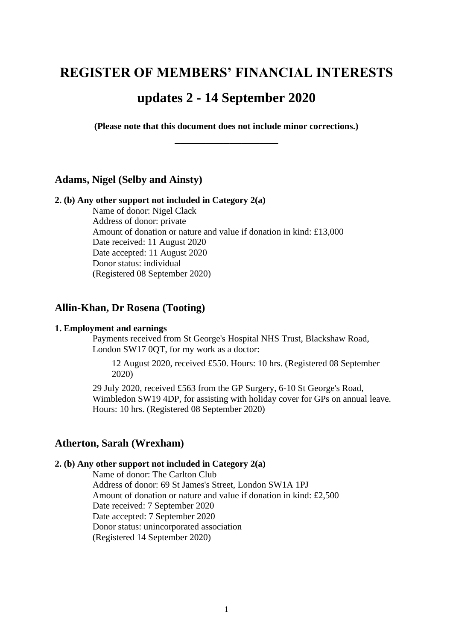# **REGISTER OF MEMBERS' FINANCIAL INTERESTS**

# **updates 2 - 14 September 2020**

**(Please note that this document does not include minor corrections.) \_\_\_\_\_\_\_\_\_\_\_\_\_\_\_\_\_**

# **Adams, Nigel (Selby and Ainsty)**

# **2. (b) Any other support not included in Category 2(a)**

Name of donor: Nigel Clack Address of donor: private Amount of donation or nature and value if donation in kind: £13,000 Date received: 11 August 2020 Date accepted: 11 August 2020 Donor status: individual (Registered 08 September 2020)

# **Allin-Khan, Dr Rosena (Tooting)**

#### **1. Employment and earnings**

Payments received from St George's Hospital NHS Trust, Blackshaw Road, London SW17 0QT, for my work as a doctor:

12 August 2020, received £550. Hours: 10 hrs. (Registered 08 September 2020)

29 July 2020, received £563 from the GP Surgery, 6-10 St George's Road, Wimbledon SW19 4DP, for assisting with holiday cover for GPs on annual leave. Hours: 10 hrs. (Registered 08 September 2020)

# **Atherton, Sarah (Wrexham)**

#### **2. (b) Any other support not included in Category 2(a)**

Name of donor: The Carlton Club Address of donor: 69 St James's Street, London SW1A 1PJ Amount of donation or nature and value if donation in kind: £2,500 Date received: 7 September 2020 Date accepted: 7 September 2020 Donor status: unincorporated association (Registered 14 September 2020)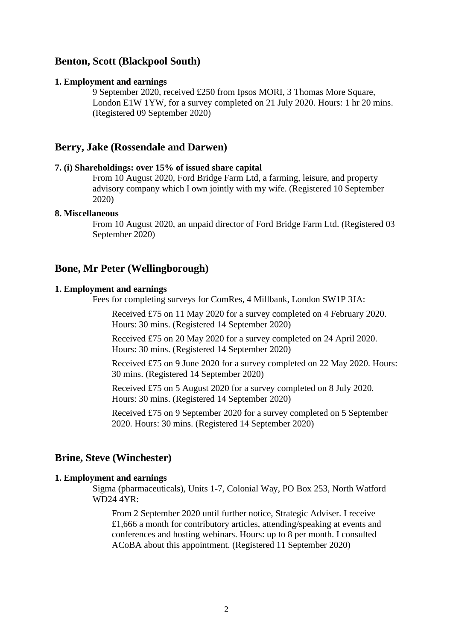# **Benton, Scott (Blackpool South)**

#### **1. Employment and earnings**

9 September 2020, received £250 from Ipsos MORI, 3 Thomas More Square, London E1W 1YW, for a survey completed on 21 July 2020. Hours: 1 hr 20 mins. (Registered 09 September 2020)

# **Berry, Jake (Rossendale and Darwen)**

#### **7. (i) Shareholdings: over 15% of issued share capital**

From 10 August 2020, Ford Bridge Farm Ltd, a farming, leisure, and property advisory company which I own jointly with my wife. (Registered 10 September 2020)

### **8. Miscellaneous**

From 10 August 2020, an unpaid director of Ford Bridge Farm Ltd. (Registered 03 September 2020)

#### **Bone, Mr Peter (Wellingborough)**

#### **1. Employment and earnings**

Fees for completing surveys for ComRes, 4 Millbank, London SW1P 3JA:

Received £75 on 11 May 2020 for a survey completed on 4 February 2020. Hours: 30 mins. (Registered 14 September 2020)

Received £75 on 20 May 2020 for a survey completed on 24 April 2020. Hours: 30 mins. (Registered 14 September 2020)

Received £75 on 9 June 2020 for a survey completed on 22 May 2020. Hours: 30 mins. (Registered 14 September 2020)

Received £75 on 5 August 2020 for a survey completed on 8 July 2020. Hours: 30 mins. (Registered 14 September 2020)

Received £75 on 9 September 2020 for a survey completed on 5 September 2020. Hours: 30 mins. (Registered 14 September 2020)

# **Brine, Steve (Winchester)**

#### **1. Employment and earnings**

Sigma (pharmaceuticals), Units 1-7, Colonial Way, PO Box 253, North Watford WD24 4YR:

From 2 September 2020 until further notice, Strategic Adviser. I receive £1,666 a month for contributory articles, attending/speaking at events and conferences and hosting webinars. Hours: up to 8 per month. I consulted ACoBA about this appointment. (Registered 11 September 2020)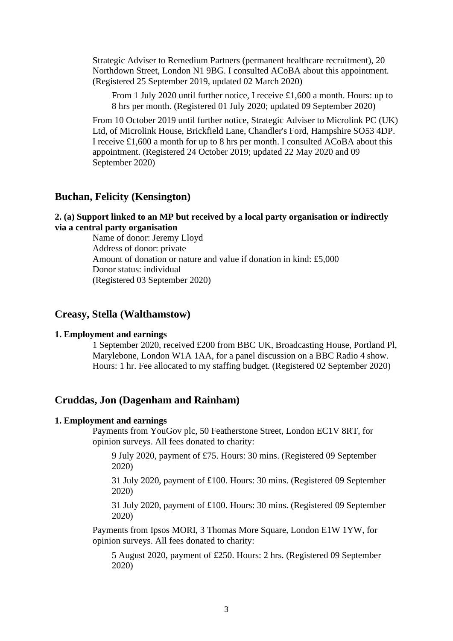Strategic Adviser to Remedium Partners (permanent healthcare recruitment), 20 Northdown Street, London N1 9BG. I consulted ACoBA about this appointment. (Registered 25 September 2019, updated 02 March 2020)

From 1 July 2020 until further notice, I receive £1,600 a month. Hours: up to 8 hrs per month. (Registered 01 July 2020; updated 09 September 2020)

From 10 October 2019 until further notice, Strategic Adviser to Microlink PC (UK) Ltd, of Microlink House, Brickfield Lane, Chandler's Ford, Hampshire SO53 4DP. I receive £1,600 a month for up to 8 hrs per month. I consulted ACoBA about this appointment. (Registered 24 October 2019; updated 22 May 2020 and 09 September 2020)

# **Buchan, Felicity (Kensington)**

# **2. (a) Support linked to an MP but received by a local party organisation or indirectly via a central party organisation**

Name of donor: Jeremy Lloyd Address of donor: private Amount of donation or nature and value if donation in kind: £5,000 Donor status: individual (Registered 03 September 2020)

# **Creasy, Stella (Walthamstow)**

#### **1. Employment and earnings**

1 September 2020, received £200 from BBC UK, Broadcasting House, Portland Pl, Marylebone, London W1A 1AA, for a panel discussion on a BBC Radio 4 show. Hours: 1 hr. Fee allocated to my staffing budget. (Registered 02 September 2020)

### **Cruddas, Jon (Dagenham and Rainham)**

#### **1. Employment and earnings**

Payments from YouGov plc, 50 Featherstone Street, London EC1V 8RT, for opinion surveys. All fees donated to charity:

9 July 2020, payment of £75. Hours: 30 mins. (Registered 09 September 2020)

31 July 2020, payment of £100. Hours: 30 mins. (Registered 09 September 2020)

31 July 2020, payment of £100. Hours: 30 mins. (Registered 09 September 2020)

Payments from Ipsos MORI, 3 Thomas More Square, London E1W 1YW, for opinion surveys. All fees donated to charity:

5 August 2020, payment of £250. Hours: 2 hrs. (Registered 09 September 2020)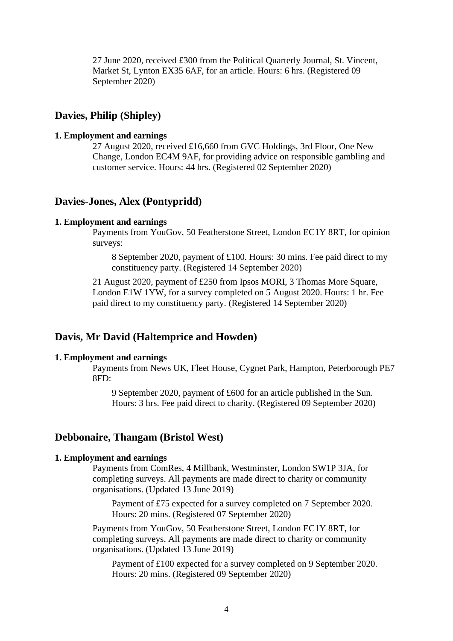27 June 2020, received £300 from the Political Quarterly Journal, St. Vincent, Market St, Lynton EX35 6AF, for an article. Hours: 6 hrs. (Registered 09 September 2020)

# **Davies, Philip (Shipley)**

#### **1. Employment and earnings**

27 August 2020, received £16,660 from GVC Holdings, 3rd Floor, One New Change, London EC4M 9AF, for providing advice on responsible gambling and customer service. Hours: 44 hrs. (Registered 02 September 2020)

# **Davies-Jones, Alex (Pontypridd)**

#### **1. Employment and earnings**

Payments from YouGov, 50 Featherstone Street, London EC1Y 8RT, for opinion surveys:

8 September 2020, payment of £100. Hours: 30 mins. Fee paid direct to my constituency party. (Registered 14 September 2020)

21 August 2020, payment of £250 from Ipsos MORI, 3 Thomas More Square, London E1W 1YW, for a survey completed on 5 August 2020. Hours: 1 hr. Fee paid direct to my constituency party. (Registered 14 September 2020)

# **Davis, Mr David (Haltemprice and Howden)**

#### **1. Employment and earnings**

Payments from News UK, Fleet House, Cygnet Park, Hampton, Peterborough PE7 8FD:

9 September 2020, payment of £600 for an article published in the Sun. Hours: 3 hrs. Fee paid direct to charity. (Registered 09 September 2020)

# **Debbonaire, Thangam (Bristol West)**

#### **1. Employment and earnings**

Payments from ComRes, 4 Millbank, Westminster, London SW1P 3JA, for completing surveys. All payments are made direct to charity or community organisations. (Updated 13 June 2019)

Payment of £75 expected for a survey completed on 7 September 2020. Hours: 20 mins. (Registered 07 September 2020)

Payments from YouGov, 50 Featherstone Street, London EC1Y 8RT, for completing surveys. All payments are made direct to charity or community organisations. (Updated 13 June 2019)

Payment of £100 expected for a survey completed on 9 September 2020. Hours: 20 mins. (Registered 09 September 2020)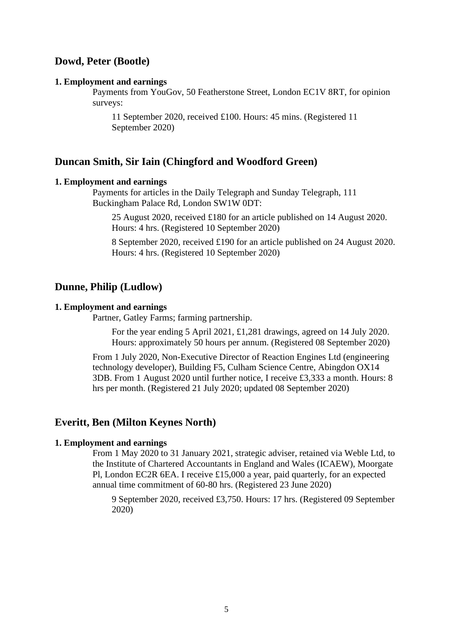# **Dowd, Peter (Bootle)**

#### **1. Employment and earnings**

Payments from YouGov, 50 Featherstone Street, London EC1V 8RT, for opinion surveys:

11 September 2020, received £100. Hours: 45 mins. (Registered 11 September 2020)

### **Duncan Smith, Sir Iain (Chingford and Woodford Green)**

#### **1. Employment and earnings**

Payments for articles in the Daily Telegraph and Sunday Telegraph, 111 Buckingham Palace Rd, London SW1W 0DT:

25 August 2020, received £180 for an article published on 14 August 2020. Hours: 4 hrs. (Registered 10 September 2020)

8 September 2020, received £190 for an article published on 24 August 2020. Hours: 4 hrs. (Registered 10 September 2020)

### **Dunne, Philip (Ludlow)**

#### **1. Employment and earnings**

Partner, Gatley Farms; farming partnership.

For the year ending 5 April 2021, £1,281 drawings, agreed on 14 July 2020. Hours: approximately 50 hours per annum. (Registered 08 September 2020)

From 1 July 2020, Non-Executive Director of Reaction Engines Ltd (engineering technology developer), Building F5, Culham Science Centre, Abingdon OX14 3DB. From 1 August 2020 until further notice, I receive £3,333 a month. Hours: 8 hrs per month. (Registered 21 July 2020; updated 08 September 2020)

# **Everitt, Ben (Milton Keynes North)**

#### **1. Employment and earnings**

From 1 May 2020 to 31 January 2021, strategic adviser, retained via Weble Ltd, to the Institute of Chartered Accountants in England and Wales (ICAEW), Moorgate Pl, London EC2R 6EA. I receive £15,000 a year, paid quarterly, for an expected annual time commitment of 60-80 hrs. (Registered 23 June 2020)

9 September 2020, received £3,750. Hours: 17 hrs. (Registered 09 September 2020)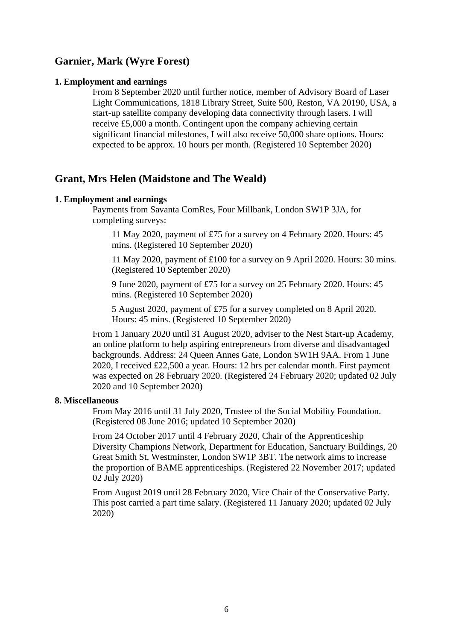# **Garnier, Mark (Wyre Forest)**

### **1. Employment and earnings**

From 8 September 2020 until further notice, member of Advisory Board of Laser Light Communications, 1818 Library Street, Suite 500, Reston, VA 20190, USA, a start-up satellite company developing data connectivity through lasers. I will receive £5,000 a month. Contingent upon the company achieving certain significant financial milestones, I will also receive 50,000 share options. Hours: expected to be approx. 10 hours per month. (Registered 10 September 2020)

# **Grant, Mrs Helen (Maidstone and The Weald)**

#### **1. Employment and earnings**

Payments from Savanta ComRes, Four Millbank, London SW1P 3JA, for completing surveys:

11 May 2020, payment of £75 for a survey on 4 February 2020. Hours: 45 mins. (Registered 10 September 2020)

11 May 2020, payment of £100 for a survey on 9 April 2020. Hours: 30 mins. (Registered 10 September 2020)

9 June 2020, payment of £75 for a survey on 25 February 2020. Hours: 45 mins. (Registered 10 September 2020)

5 August 2020, payment of £75 for a survey completed on 8 April 2020. Hours: 45 mins. (Registered 10 September 2020)

From 1 January 2020 until 31 August 2020, adviser to the Nest Start-up Academy, an online platform to help aspiring entrepreneurs from diverse and disadvantaged backgrounds. Address: 24 Queen Annes Gate, London SW1H 9AA. From 1 June 2020, I received £22,500 a year. Hours: 12 hrs per calendar month. First payment was expected on 28 February 2020. (Registered 24 February 2020; updated 02 July 2020 and 10 September 2020)

#### **8. Miscellaneous**

From May 2016 until 31 July 2020, Trustee of the Social Mobility Foundation. (Registered 08 June 2016; updated 10 September 2020)

From 24 October 2017 until 4 February 2020, Chair of the Apprenticeship Diversity Champions Network, Department for Education, Sanctuary Buildings, 20 Great Smith St, Westminster, London SW1P 3BT. The network aims to increase the proportion of BAME apprenticeships. (Registered 22 November 2017; updated 02 July 2020)

From August 2019 until 28 February 2020, Vice Chair of the Conservative Party. This post carried a part time salary. (Registered 11 January 2020; updated 02 July 2020)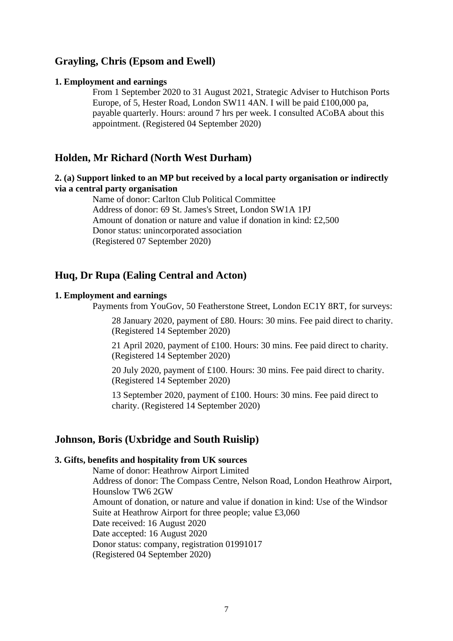# **Grayling, Chris (Epsom and Ewell)**

#### **1. Employment and earnings**

From 1 September 2020 to 31 August 2021, Strategic Adviser to Hutchison Ports Europe, of 5, Hester Road, London SW11 4AN. I will be paid £100,000 pa, payable quarterly. Hours: around 7 hrs per week. I consulted ACoBA about this appointment. (Registered 04 September 2020)

# **Holden, Mr Richard (North West Durham)**

# **2. (a) Support linked to an MP but received by a local party organisation or indirectly via a central party organisation**

Name of donor: Carlton Club Political Committee Address of donor: 69 St. James's Street, London SW1A 1PJ Amount of donation or nature and value if donation in kind: £2,500 Donor status: unincorporated association (Registered 07 September 2020)

# **Huq, Dr Rupa (Ealing Central and Acton)**

# **1. Employment and earnings**

Payments from YouGov, 50 Featherstone Street, London EC1Y 8RT, for surveys:

28 January 2020, payment of £80. Hours: 30 mins. Fee paid direct to charity. (Registered 14 September 2020)

21 April 2020, payment of £100. Hours: 30 mins. Fee paid direct to charity. (Registered 14 September 2020)

20 July 2020, payment of £100. Hours: 30 mins. Fee paid direct to charity. (Registered 14 September 2020)

13 September 2020, payment of £100. Hours: 30 mins. Fee paid direct to charity. (Registered 14 September 2020)

### **Johnson, Boris (Uxbridge and South Ruislip)**

#### **3. Gifts, benefits and hospitality from UK sources**

Name of donor: Heathrow Airport Limited Address of donor: The Compass Centre, Nelson Road, London Heathrow Airport, Hounslow TW6 2GW Amount of donation, or nature and value if donation in kind: Use of the Windsor Suite at Heathrow Airport for three people; value £3,060 Date received: 16 August 2020 Date accepted: 16 August 2020 Donor status: company, registration 01991017 (Registered 04 September 2020)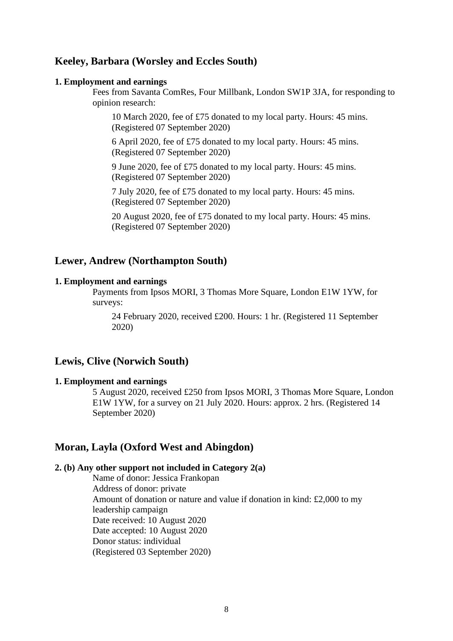# **Keeley, Barbara (Worsley and Eccles South)**

#### **1. Employment and earnings**

Fees from Savanta ComRes, Four Millbank, London SW1P 3JA, for responding to opinion research:

10 March 2020, fee of £75 donated to my local party. Hours: 45 mins. (Registered 07 September 2020)

6 April 2020, fee of £75 donated to my local party. Hours: 45 mins. (Registered 07 September 2020)

9 June 2020, fee of £75 donated to my local party. Hours: 45 mins. (Registered 07 September 2020)

7 July 2020, fee of £75 donated to my local party. Hours: 45 mins. (Registered 07 September 2020)

20 August 2020, fee of £75 donated to my local party. Hours: 45 mins. (Registered 07 September 2020)

# **Lewer, Andrew (Northampton South)**

#### **1. Employment and earnings**

Payments from Ipsos MORI, 3 Thomas More Square, London E1W 1YW, for surveys:

24 February 2020, received £200. Hours: 1 hr. (Registered 11 September 2020)

# **Lewis, Clive (Norwich South)**

#### **1. Employment and earnings**

5 August 2020, received £250 from Ipsos MORI, 3 Thomas More Square, London E1W 1YW, for a survey on 21 July 2020. Hours: approx. 2 hrs. (Registered 14 September 2020)

# **Moran, Layla (Oxford West and Abingdon)**

#### **2. (b) Any other support not included in Category 2(a)**

Name of donor: Jessica Frankopan Address of donor: private Amount of donation or nature and value if donation in kind: £2,000 to my leadership campaign Date received: 10 August 2020 Date accepted: 10 August 2020 Donor status: individual (Registered 03 September 2020)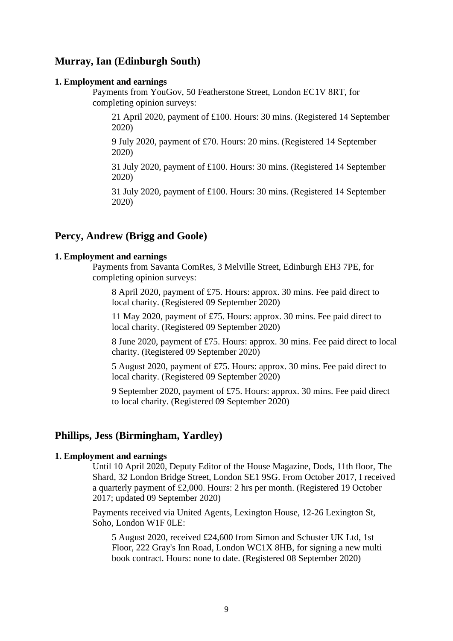# **Murray, Ian (Edinburgh South)**

#### **1. Employment and earnings**

Payments from YouGov, 50 Featherstone Street, London EC1V 8RT, for completing opinion surveys:

21 April 2020, payment of £100. Hours: 30 mins. (Registered 14 September 2020)

9 July 2020, payment of £70. Hours: 20 mins. (Registered 14 September 2020)

31 July 2020, payment of £100. Hours: 30 mins. (Registered 14 September 2020)

31 July 2020, payment of £100. Hours: 30 mins. (Registered 14 September 2020)

# **Percy, Andrew (Brigg and Goole)**

#### **1. Employment and earnings**

Payments from Savanta ComRes, 3 Melville Street, Edinburgh EH3 7PE, for completing opinion surveys:

8 April 2020, payment of £75. Hours: approx. 30 mins. Fee paid direct to local charity. (Registered 09 September 2020)

11 May 2020, payment of £75. Hours: approx. 30 mins. Fee paid direct to local charity. (Registered 09 September 2020)

8 June 2020, payment of £75. Hours: approx. 30 mins. Fee paid direct to local charity. (Registered 09 September 2020)

5 August 2020, payment of £75. Hours: approx. 30 mins. Fee paid direct to local charity. (Registered 09 September 2020)

9 September 2020, payment of £75. Hours: approx. 30 mins. Fee paid direct to local charity. (Registered 09 September 2020)

# **Phillips, Jess (Birmingham, Yardley)**

### **1. Employment and earnings**

Until 10 April 2020, Deputy Editor of the House Magazine, Dods, 11th floor, The Shard, 32 London Bridge Street, London SE1 9SG. From October 2017, I received a quarterly payment of £2,000. Hours: 2 hrs per month. (Registered 19 October 2017; updated 09 September 2020)

Payments received via United Agents, Lexington House, 12-26 Lexington St, Soho, London W1F 0LE:

5 August 2020, received £24,600 from Simon and Schuster UK Ltd, 1st Floor, 222 Gray's Inn Road, London WC1X 8HB, for signing a new multi book contract. Hours: none to date. (Registered 08 September 2020)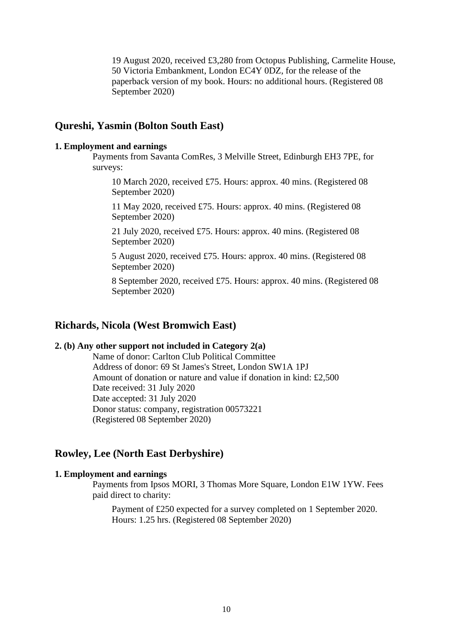19 August 2020, received £3,280 from Octopus Publishing, Carmelite House, 50 Victoria Embankment, London EC4Y 0DZ, for the release of the paperback version of my book. Hours: no additional hours. (Registered 08 September 2020)

# **Qureshi, Yasmin (Bolton South East)**

#### **1. Employment and earnings**

Payments from Savanta ComRes, 3 Melville Street, Edinburgh EH3 7PE, for surveys:

10 March 2020, received £75. Hours: approx. 40 mins. (Registered 08 September 2020)

11 May 2020, received £75. Hours: approx. 40 mins. (Registered 08 September 2020)

21 July 2020, received £75. Hours: approx. 40 mins. (Registered 08 September 2020)

5 August 2020, received £75. Hours: approx. 40 mins. (Registered 08 September 2020)

8 September 2020, received £75. Hours: approx. 40 mins. (Registered 08 September 2020)

# **Richards, Nicola (West Bromwich East)**

# **2. (b) Any other support not included in Category 2(a)**

Name of donor: Carlton Club Political Committee Address of donor: 69 St James's Street, London SW1A 1PJ Amount of donation or nature and value if donation in kind: £2,500 Date received: 31 July 2020 Date accepted: 31 July 2020 Donor status: company, registration 00573221 (Registered 08 September 2020)

# **Rowley, Lee (North East Derbyshire)**

#### **1. Employment and earnings**

Payments from Ipsos MORI, 3 Thomas More Square, London E1W 1YW. Fees paid direct to charity:

Payment of £250 expected for a survey completed on 1 September 2020. Hours: 1.25 hrs. (Registered 08 September 2020)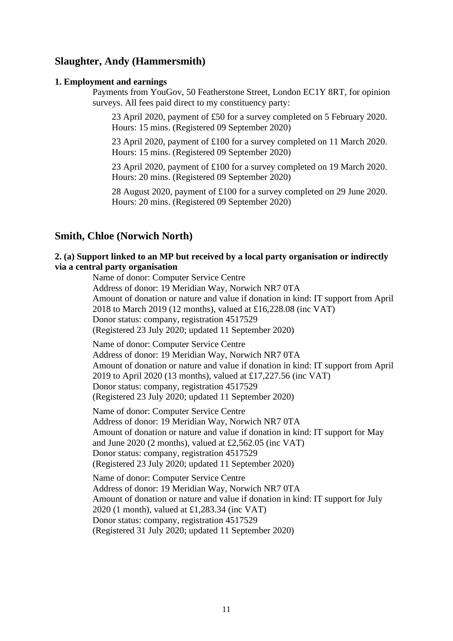# **Slaughter, Andy (Hammersmith)**

#### **1. Employment and earnings**

Payments from YouGov, 50 Featherstone Street, London EC1Y 8RT, for opinion surveys. All fees paid direct to my constituency party:

23 April 2020, payment of £50 for a survey completed on 5 February 2020. Hours: 15 mins. (Registered 09 September 2020)

23 April 2020, payment of £100 for a survey completed on 11 March 2020. Hours: 15 mins. (Registered 09 September 2020)

23 April 2020, payment of £100 for a survey completed on 19 March 2020. Hours: 20 mins. (Registered 09 September 2020)

28 August 2020, payment of £100 for a survey completed on 29 June 2020. Hours: 20 mins. (Registered 09 September 2020)

# **Smith, Chloe (Norwich North)**

# **2. (a) Support linked to an MP but received by a local party organisation or indirectly via a central party organisation**

Name of donor: Computer Service Centre Address of donor: 19 Meridian Way, Norwich NR7 0TA Amount of donation or nature and value if donation in kind: IT support from April 2018 to March 2019 (12 months), valued at £16,228.08 (inc VAT) Donor status: company, registration 4517529 (Registered 23 July 2020; updated 11 September 2020)

Name of donor: Computer Service Centre Address of donor: 19 Meridian Way, Norwich NR7 0TA Amount of donation or nature and value if donation in kind: IT support from April 2019 to April 2020 (13 months), valued at £17,227.56 (inc VAT) Donor status: company, registration 4517529 (Registered 23 July 2020; updated 11 September 2020)

Name of donor: Computer Service Centre Address of donor: 19 Meridian Way, Norwich NR7 0TA Amount of donation or nature and value if donation in kind: IT support for May and June 2020 (2 months), valued at £2,562.05 (inc VAT) Donor status: company, registration 4517529 (Registered 23 July 2020; updated 11 September 2020)

Name of donor: Computer Service Centre Address of donor: 19 Meridian Way, Norwich NR7 0TA Amount of donation or nature and value if donation in kind: IT support for July 2020 (1 month), valued at £1,283.34 (inc VAT) Donor status: company, registration 4517529 (Registered 31 July 2020; updated 11 September 2020)